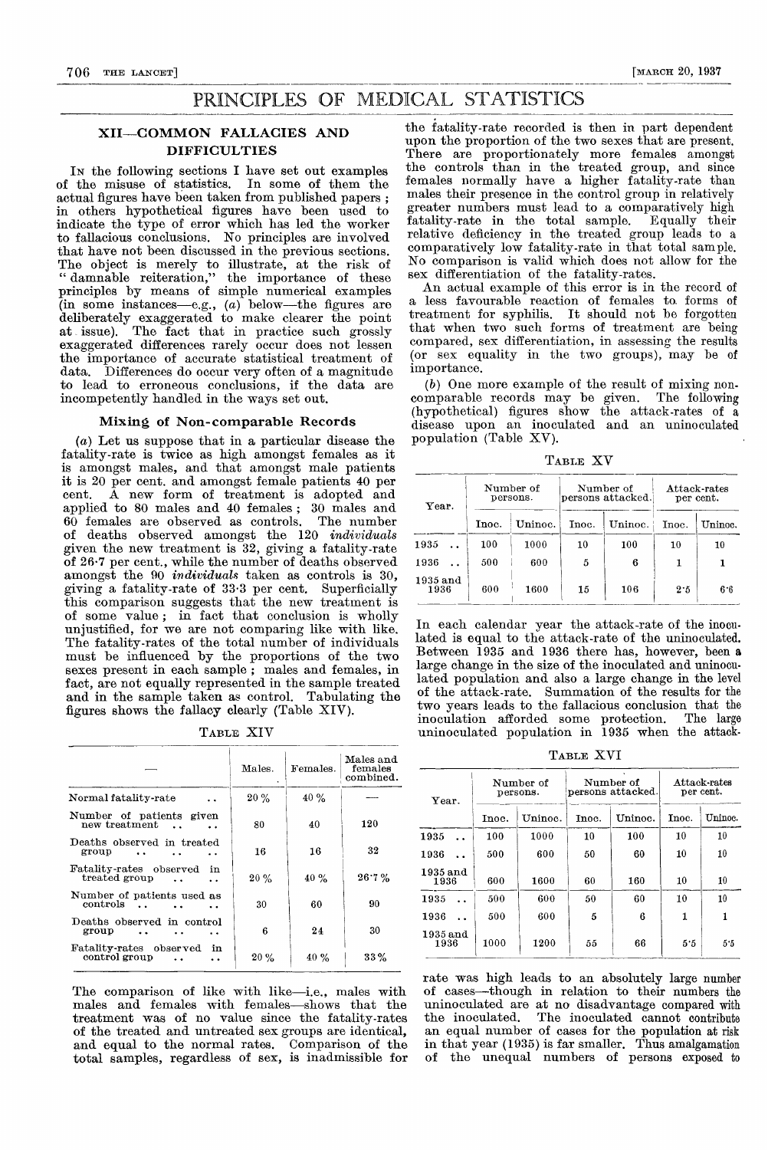# PRINCIPLES OF MEDICAL STATISTICS

## XII—COMMON FALLACIES AND **DIFFICULTIES**

IN the following sections I have set out examples of the misuse of statistics. In some of them the actual figures have been taken from published papers ; in others hypothetical figures have been used to indicate the type of error which has led the worker to fallacious conclusions. No principles are involved that have not been discussed in the previous sections. The object is merely to illustrate, at the risk of " damnable reiteration," the importance of these principles by means of simple numerical examples  $(\text{in\_some\_instances—e.g.,}\,\,(a)\,\,\text{ below—the}\,\,\,\text{figures}\,\,\,\text{are}$ deliberately exaggerated to make clearer the point at issue). The fact that in practice such grossly exaggerated differences rarely occur does not lessen the importance of accurate statistical treatment of data. Differences do occur very often of a magnitude to lead to erroneous conclusions, if the data are incompetently handled in the ways set out.

#### Mixing of Non-comparable Records

(a) Let us suppose that in a particular disease the fatality-rate is twice as high amongst females as it is amongst males, and that amongst male patients it is 20 per cent. and amongst female patients 40 per A new form of treatment is adopted and applied to 80 males and 40 females; 30 males and 60 females are observed as controls. The number 60 females are observed as controls. of deaths observed amongst the 120 individuals given the new treatment is 32, giving a fatality-rate of 26-7 per cent., while the number of deaths observed amongst the 90 *individuals* taken as controls is 30, giving a fatality-rate of 33-3 per cent. Superficially this comparison suggests that the new treatment is of some value; in fact that conclusion is wholly unjustified, for we are not comparing like with like. The fatality-rates of the total number of individuals must be influenced by the proportions of the two sexes present in each sample ; males and females, in fact, are not equally represented in the sample treated and in the sample taken as control. Tabulating the figures shows the fallacy clearly (Table XIV).

TABLE XIV

|                                                            | Males. | Females. | Males and<br>females<br>$\mathop{\mathrm{combined}}$ . |
|------------------------------------------------------------|--------|----------|--------------------------------------------------------|
| Normal fatality-rate                                       | 20%    | 40%      |                                                        |
| Number of patients given<br>new treatment<br>$\sim$ $\sim$ | 80     | 40       | 120                                                    |
| Deaths observed in treated<br>group                        | 16     | 16       | 32                                                     |
| Fatality-rates observed<br>in<br>treated group             | 20%    | $40 \%$  | 26.7%                                                  |
| Number of patients used as<br>controls                     | 30     | 60       | 90                                                     |
| Deaths observed in control<br>group                        | 6      | 24       | 30                                                     |
| Fatality-rates observed<br>in<br>control group             | $20\%$ | 40%      | $33\%$                                                 |

The comparison of like with like-i.e., males with males and females with females-shows that the treatment was of no value since the fatality-rates of the treated and untreated sex groups are identical, and equal to the normal rates. Comparison of the total samples, regardless of sex, is inadmissible for

the fatality-rate recorded is then in part dependent upon the proportion of the two sexes that are present. There are proportionately more females amongst the controls than in the treated group, and since females normally have a higher fatality-rate than males their presence in the control group in relatively greater numbers must lead to a comparatively high fatality-rate in the total sample. Equally their relative deficiency in the treated group leads to a comparatively low fatality-rate in that total sample. No comparison is valid which does not allow for the sex differentiation of the fatality-rates.

An actual example of this error is in the record of a less favourable reaction of females to. forms of treatment for syphilis. It should not be forgotten that when two such forms of treatment are being compared, sex differentiation, in assessing the results (or sex equality in the two groups), may be of importance.

 $(b)$  One more example of the result of mixing noncomparable records may be given. The following (hypothetical) figures show the attack-rates of a disease upon an inoculated and an uninoculated population (Table XV).

TABLE XV

| Year.            |       | Number of<br>persons. | Number of<br>persons attacked. |                | Attack-rates<br>per cent. |         |
|------------------|-------|-----------------------|--------------------------------|----------------|---------------------------|---------|
|                  | Inoc. | Unino.                | $_{\mathrm{Inoc.}}$            | $\rm{Uninoc.}$ | Inoc.                     | Uninoc. |
| 1935             | 100   | 1000                  | 10                             | 100            | $10\,$                    | 10      |
| 1936             | 500   | 600                   | 5                              | 6              |                           |         |
| 1935 and<br>1936 | 600   | 1600                  | 15                             | 106            | 2.5                       | 6.6     |

In each calendar year the attack-rate of the inoculated is equal to the attack-rate of the uninoculated. Between 1935 and 1936 there has, however, been a large change in the size of the inoculated and uninocu. lated population and also a large change in the level of the attack-rate. Summation of the results for the two years leads to the fallacious conclusion that the inoculation afforded some protection. uninoculated population in 1935 when the attack-

TABLE XVI

|                    |       | Number of | Number of<br>persons attacked. |         | $At take - rates$<br>per cent. |         |
|--------------------|-------|-----------|--------------------------------|---------|--------------------------------|---------|
| Year.              |       | persons.  |                                |         |                                |         |
|                    | Inoc. | Uninoc.   | Inoc.                          | Uninoc. | Inoc.                          | Uninoc. |
| 1935               | 100   | 1000      | $10\,$                         | 100     | 10                             | 10      |
| 1936               | 500   | 600       | 50                             | 60      | 10                             | 10      |
| $1935$ and<br>1936 | 600   | 1600      | 60                             | 160     | 10                             | 10      |
| 1935               | 500   | 600       | 50                             | 60      | 10                             | 10      |
| 1936               | 500   | 600       | 5                              | 6       | 1                              | 1       |
| $1935$ and<br>1936 | 1000  | 1200      | 55                             | 66      | 5.5                            | 5.5     |

rate was high leads to an absolutely large number of cases-though in relation to their numbers the uninoculated are at no disadvantage compared with the inoculated. The inoculated cannot contribute an equal number of cases for the population at risk in that year (1935) is far smaller. Thus amalgamation of the unequal numbers of persons exposed to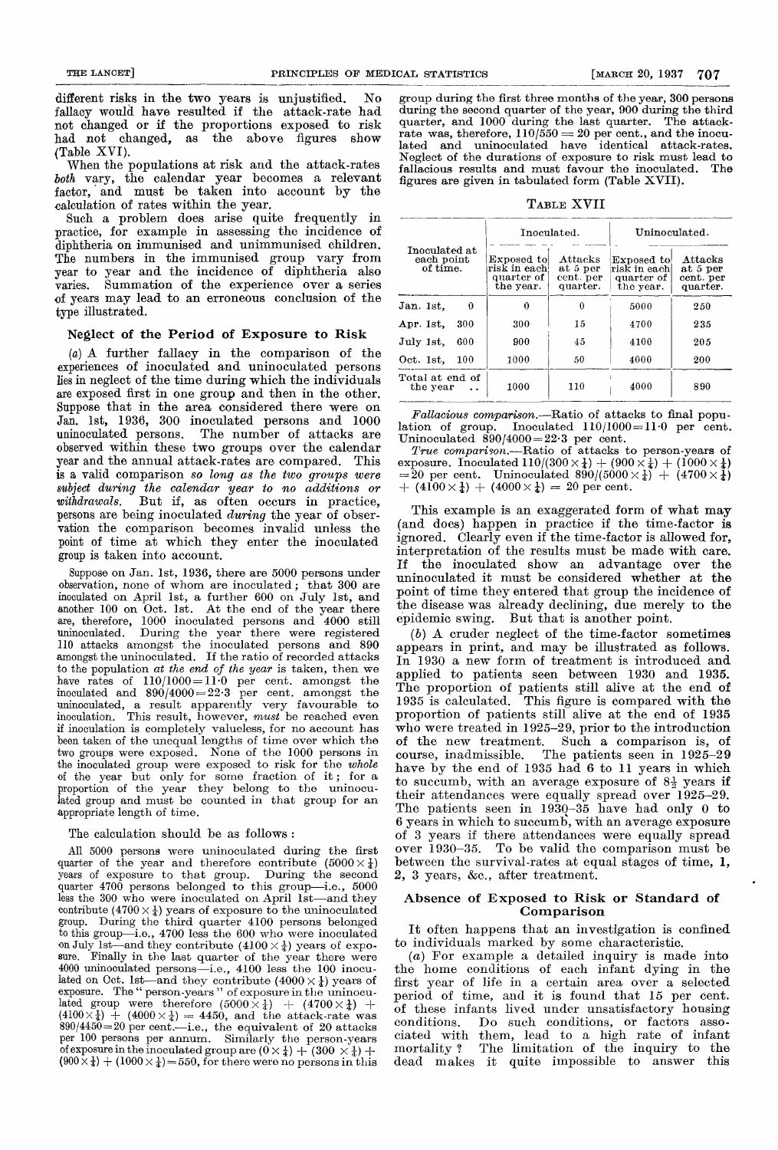different risks in the two years is unjustified. No fallacy would have resulted if the attack-rate had not changed or if the proportions exposed to risk had not changed, as the above figures show (Table XVI).

When the populations at risk and the attack-rates both vary, the calendar year becomes a relevant factor, and must be taken into account by the calculation of rates within the year.

Such a problem does arise quite frequently in practice, for example in assessing the incidence of diphtheria on immunised and unimmunised children. The numbers in the immunised group vary from year to year and the incidence of diphtheria also varies. Summation of the experience over a series of years may lead to an erroneous conclusion of the type illustrated.

## Neglect of the Period of Exposure to Risk

(a) A further fallacy in the comparison of the experiences of inoculated and uninoculated persons lies in neglect of the time during which the individuals are exposed first in one group and then in the other. Suppose that in the area considered there were on Jan. 1st, 1936, 300 inoculated persons and 1000 uninoculated persons. The number of attacks are The number of attacks are observed within these two groups over the calendar year and the annual attack-rates are compared. This is a valid comparison so long as the two groups were subject during the calendar year to no additions or withdrawals. But if, as often occurs in practice, persons are being inoculated during the year of observation the comparison becomes invalid unless the point of time at which they enter the inoculated group is taken into account.

Suppose on Jan. 1st, 1936, there are 5000 persons under observation, none of whom are inoculated; that 300 are inoculated on April 1st, a further 600 on July lst, and another 100 on Oct. lst. At the end of the year there are, therefore, 1000 inoculated persons and 4000 still uninoculated. During the year there were registered 110 attacks amongst the inoculated persons and 890 amongst the uninoculated. If the ratio of recorded attacks to the population at the end of the year is taken, then we have rates of  $110/1000=11.0$  per cent. amongst the  $\quad \text{inoculated} \quad \text{and} \quad 890/4000\!=\!22{\cdot}3 \quad \text{per} \quad \text{cent.} \quad \text{amongst} \quad \text{the}$ uninoculated, a result apparently very favourable to inoculation. This result, however, must be reached even if inoculation is completely valueless, for no account has been taken of the unequal lengths of time over which the two groups were exposed. None of the 1000 persons in the inoculated group were exposed to risk for the whole of the year but only for some fraction of it; for a proportion of the year they belong to the uninoculated group and must be counted in that group for an appropriate length of time.

#### The calculation should be as follows :

All 5000 persons were uninoculated during the first quarter of the year and therefore contribute  $(5000 \times \frac{1}{4})$  years of exposure to that group. During the second years of exposure to that group. quarter 4700 persons belonged to this group-i.e., 5000 less the  $300$  who were inoculated on April  $1st$ —and they contribute  $(4700 \times \frac{1}{4})$  years of exposure to the uninoculated group. During the third quarter 4100 persons belonged to this group-i.e., 4700 less the 600 who were inoculated on July 1st—and they contribute  $(4100 \times \frac{1}{4})$  years of expo-<br>sure. Finally in the last quarter of the year there were 4000 uninoculated persons-i.e., 4100 less the 100 inoculated on Oct. 1st—and they contribute  $(4000 \times \frac{1}{4})$  years of exposure. The " person-years " of exposure in the uninoculated group were therefore  $(5000 \times \frac{1}{4}) + (4700 \times \frac{1}{4}) + (4100 \times \frac{1}{4}) + (4000 \times \frac{1}{4}) = 4450$ , and the attack-rate was  $890/4450=20$  per cent.—i.e., the equivalent of 20 attacks per 100 persons per annum. Similarly the person-years of exposure in the inoculated group are  $(0 \times \frac{1}{4}) + (300 \times \frac{1}{4}) +$  $(900 \times \frac{1}{4}) + (1000 \times \frac{1}{4}) = 550$ , for there were no persons in this

group during the first three months of the year, 300 persons during the second quarter of the year, 900 during the third quarter, and 1000 during the last quarter. The attackquarter, and 1000 during the last quarter. The attack-<br>rate was, therefore,  $110/550 = 20$  per cent., and the inoculated and uninoculated have identical attack-rates. Neglect of the durations of exposure to risk must lead to fallacious results and must favour the inoculated. The figures are given in tabulated form (Table XVII).

TABLE XVII

| Inoculated at<br>each point<br>of time. |     | Inoculated.                                            |                                              | Uninoculated.                                          |                                              |  |
|-----------------------------------------|-----|--------------------------------------------------------|----------------------------------------------|--------------------------------------------------------|----------------------------------------------|--|
|                                         |     | Exposed to<br>risk in each!<br>quarter of<br>the year. | Attacks<br>at 5 per<br>cent. per<br>quarter. | Exposed to<br>risk in eachl<br>quarter of<br>the year. | Attacks<br>at 5 per<br>cent. per<br>quarter. |  |
| Jan. 1st.                               | 0   | 0                                                      | 0                                            | 5000                                                   | 250                                          |  |
| Apr. 1st.                               | 300 | 300                                                    | 15                                           | 4700                                                   | 235                                          |  |
| July 1st.                               | 600 | 900                                                    | 45                                           | 4100                                                   | 205                                          |  |
| Oct. 1st.                               | 100 | 1000                                                   | 50                                           | 4000                                                   | 200                                          |  |
| Total at end of<br>the year             |     | 1000                                                   | 110                                          | 4000                                                   | 890                                          |  |

Fallacious comparison.—Ratio of attacks to final population of group. Inoculated  $110/1000=11.0$  per cent. lation of group. Inoculated  $110/1000=11$  of per cent. Uninoculated  $890/4000=22.3$  per cent.

 $True$  comparison.—Ratio of attacks to person-years of exposure. Inoculated  $110/(300 \times \frac{1}{4}) + (900 \times \frac{1}{4}) + (1000 \times \frac{1}{4})$ <br>  $= 20$  per cent. Uninoculated  $890/(5000 \times \frac{1}{4}) + (4700 \times \frac{1}{4})$ <br>  $+ (4100 \times \frac{1}{4}) + (4000 \times \frac{1}{4}) = 20$  per cent.

This example is an exaggerated form of what may (and does) happen in practice if the time-factor is ignored. Clearly even if the time-factor is allowed for, interpretation of the results must be made with care. If the inoculated show an advantage over the uninoculated it must be considered whether at the point of time they entered that group the incidence of the disease was already declining, due merely to the epidemic swing. But that is another point.

(b) A cruder neglect of the time-factor sometimes appears in print, and may be illustrated as follows. In 1930 a new form of treatment is introduced and applied to patients seen between 1930 and 1935. The proportion of patients still alive at the end of 1935 is calculated. This figure is compared with the proportion of patients still alive at the end of 1935 who were treated in 1925-29, prior to the introduction of the new treatment. Such a comparison is, of course, inadmissible. The patients seen in 1925-29 have by the end of 1935 had 6 to 11 years in which to succumb, with an average exposure of  $8\frac{1}{2}$  years if their attendances were equally spread over 1925-29. The patients seen in 1930-35 have had only 0 to 6 years in which to succumb, with an average exposure over  $1930-35$ . To be valid the comparison must be between the survival-rates at equal stages of time, 1,  $2, 3 \text{ years}, \&c., \text{ after treatment.}$ 

### Absence of Exposed to Risk or Standard of Comparison

It often happens that an investigation is confined to individuals marked by some characteristic.

(a) For example a detailed inquiry is made into the home conditions of each infant dying in the first year of life in a certain area over a selected period of time, and it is found that 15 per cent. of these infants lived under unsatisfactory housing Do such conditions, or factors associated with them, lead to a high rate of infant mortality? The limitation of the inquiry to the dead makes it quite impossible to answer this